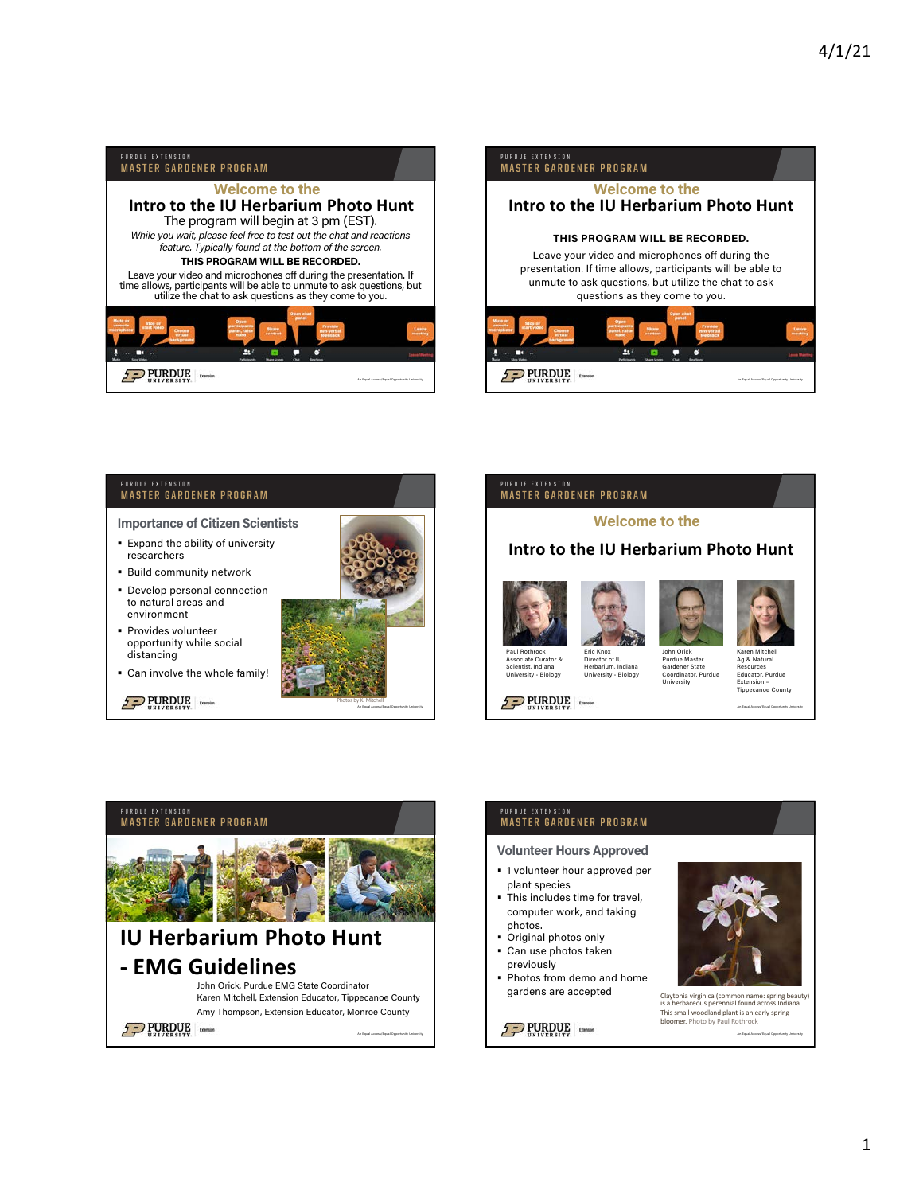

# **MASTER GARDENER PROGRAM**

Importance of Citizen Scientists

- § Expand the ability of university researchers
- § Build community network
- § Develop personal connection to natural areas and environment
- § Provides volunteer opportunity while social distancing
- § Can involve the whole family!

 $2$  PURDUE



### PURDUE EXTENSION **MASTER GARDENER PROGRAM**

## Welcome to the

# **Intro to the IU Herbarium Photo Hunt**



Herbarium, In University - Biology

Scientist, Indiana University - Biology

 $2$  PURDUE





John Orick Purdue Maste Gardener State Coordinator, Purdue University Karen Mitchell Ag & Natural Resources Educator, Purdue **Extension** 

An Equal Access/Equal Opportunity University Tippecanoe County



### PURDUE EXTENSION **MASTER GARDENER PROGRAM**

Volunteer Hours Approved

- § 1 volunteer hour approved per plant species
- § This includes time for travel, computer work, and taking
- photos. § Original photos only ■ Can use photos taken
- previously
- § Photos from demo and home gardens are accepted Claytonia virginica (common name: spring beauty)

 $2$  PURDUE



is a herbaceous perennial found across Indiana This small woodland plant is an early spring bloomer. Photo by Paul Rothrock